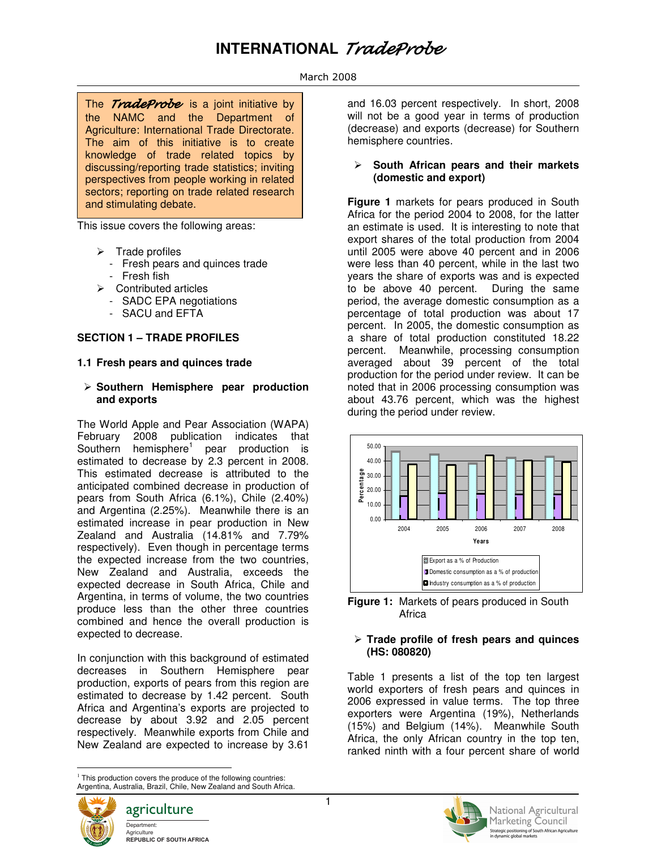# **INTERNATIONAL** TradeProbe

#### March 2008

The TradeProbeis a joint initiative by the NAMC and the Department of Agriculture: International Trade Directorate. The aim of this initiative is to create knowledge of trade related topics by discussing/reporting trade statistics; inviting perspectives from people working in related sectors; reporting on trade related research and stimulating debate.

This issue covers the following areas:

- $\triangleright$  Trade profiles
	- Fresh pears and quinces trade
	- Fresh fish
- $\triangleright$  Contributed articles
	- SADC EPA negotiations
	- SACU and EFTA

## **SECTION 1 – TRADE PROFILES**

#### **1.1 Fresh pears and quinces trade**

#### **Southern Hemisphere pear production and exports**

The World Apple and Pear Association (WAPA) February 2008 publication indicates that Southern hemisphere<sup>1</sup> pear production is estimated to decrease by 2.3 percent in 2008. This estimated decrease is attributed to the anticipated combined decrease in production of pears from South Africa (6.1%), Chile (2.40%) and Argentina (2.25%). Meanwhile there is an estimated increase in pear production in New Zealand and Australia (14.81% and 7.79% respectively). Even though in percentage terms the expected increase from the two countries, New Zealand and Australia, exceeds the expected decrease in South Africa, Chile and Argentina, in terms of volume, the two countries produce less than the other three countries combined and hence the overall production is expected to decrease.

In conjunction with this background of estimated decreases in Southern Hemisphere pear production, exports of pears from this region are estimated to decrease by 1.42 percent. South Africa and Argentina's exports are projected to decrease by about 3.92 and 2.05 percent respectively. Meanwhile exports from Chile and New Zealand are expected to increase by 3.61

<sup>&</sup>lt;sup>1</sup> This production covers the produce of the following countries: Argentina, Australia, Brazil, Chile, New Zealand and South Africa.



 $\overline{a}$ 

and 16.03 percent respectively. In short, 2008 will not be a good year in terms of production (decrease) and exports (decrease) for Southern hemisphere countries.

#### **South African pears and their markets (domestic and export)**

**Figure 1** markets for pears produced in South Africa for the period 2004 to 2008, for the latter an estimate is used. It is interesting to note that export shares of the total production from 2004 until 2005 were above 40 percent and in 2006 were less than 40 percent, while in the last two years the share of exports was and is expected to be above 40 percent. During the same period, the average domestic consumption as a percentage of total production was about 17 percent. In 2005, the domestic consumption as a share of total production constituted 18.22 percent. Meanwhile, processing consumption averaged about 39 percent of the total production for the period under review. It can be noted that in 2006 processing consumption was about 43.76 percent, which was the highest during the period under review.



**Figure 1:** Markets of pears produced in South **Africa** 

#### **Trade profile of fresh pears and quinces (HS: 080820)**

Table 1 presents a list of the top ten largest world exporters of fresh pears and quinces in 2006 expressed in value terms. The top three exporters were Argentina (19%), Netherlands (15%) and Belgium (14%). Meanwhile South Africa, the only African country in the top ten, ranked ninth with a four percent share of world

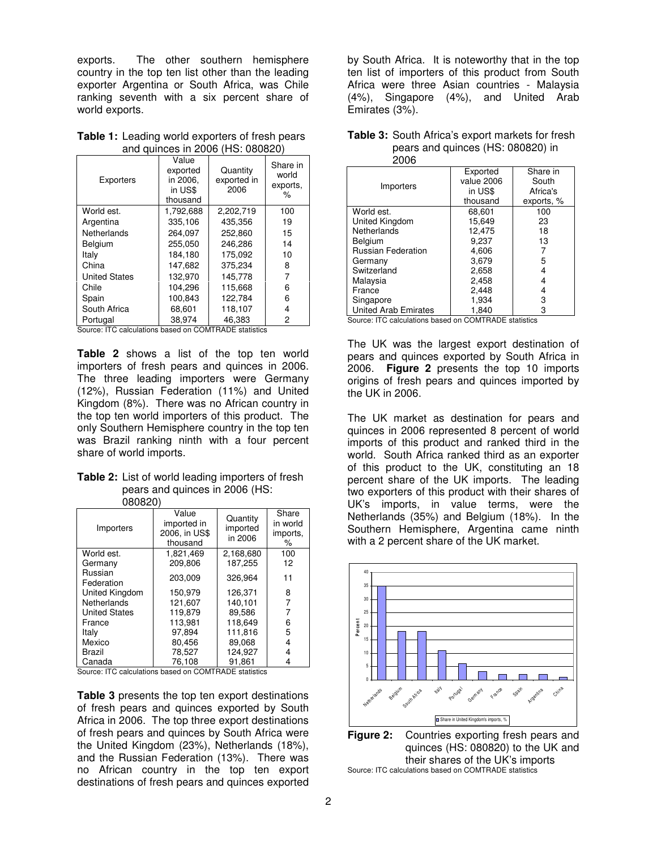exports. The other southern hemisphere country in the top ten list other than the leading exporter Argentina or South Africa, was Chile ranking seventh with a six percent share of world exports.

| <b>Table 1:</b> Leading world exporters of fresh pears |
|--------------------------------------------------------|
| and quinces in 2006 (HS: 080820)                       |

| Exporters                           | Value<br>exported<br>in 2006.<br>in US\$<br>thousand | Quantity<br>exported in<br>2006 | Share in<br>world<br>exports,<br>℅ |
|-------------------------------------|------------------------------------------------------|---------------------------------|------------------------------------|
| World est.                          | 1,792,688                                            | 2,202,719                       | 100                                |
| Argentina                           | 335.106                                              | 435.356                         | 19                                 |
| Netherlands                         | 264.097                                              | 252.860                         | 15                                 |
| Belgium                             | 255.050                                              | 246.286                         | 14                                 |
| Italv                               | 184.180                                              | 175.092                         | 10                                 |
| China                               | 147,682                                              | 375,234                         | 8                                  |
| <b>United States</b>                | 132,970                                              | 145.778                         |                                    |
| Chile                               | 104.296                                              | 115.668                         | 6                                  |
| Spain                               | 100.843                                              | 122.784                         | 6                                  |
| South Africa                        | 68,601                                               | 118.107                         | 4                                  |
| Portugal<br>$\cdot$ $\cdot$ $\cdot$ | 38,974                                               | 46,383                          | 2                                  |

Source: ITC calculations based on COMTRADE statistics

**Table 2** shows a list of the top ten world importers of fresh pears and quinces in 2006. The three leading importers were Germany (12%), Russian Federation (11%) and United Kingdom (8%). There was no African country in the top ten world importers of this product. The only Southern Hemisphere country in the top ten was Brazil ranking ninth with a four percent share of world imports.

## **Table 2:** List of world leading importers of fresh pears and quinces in 2006 (HS:

| 180820) |  |
|---------|--|
|         |  |

| Importers             | Value<br>imported in<br>2006. in US\$<br>thousand | Quantity<br>imported<br>in 2006 | Share<br>in world<br>imports,<br>% |
|-----------------------|---------------------------------------------------|---------------------------------|------------------------------------|
| World est.            | 1.821.469                                         | 2,168,680                       | 100                                |
| Germany               | 209.806                                           | 187,255                         | 12                                 |
| Russian<br>Federation | 203,009                                           | 326.964                         | 11                                 |
| United Kingdom        | 150.979                                           | 126.371                         | 8                                  |
| Netherlands           | 121.607                                           | 140.101                         |                                    |
| <b>United States</b>  | 119.879                                           | 89.586                          | 7                                  |
| France                | 113.981                                           | 118.649                         | 6                                  |
| Italy                 | 97.894                                            | 111,816                         | 5                                  |
| Mexico                | 80.456                                            | 89.068                          | 4                                  |
| Brazil                | 78.527                                            | 124.927                         | 4                                  |
| Canada                | 76.108                                            | 91.861                          |                                    |

Source: ITC calculations based on COMTRADE statistics

**Table 3** presents the top ten export destinations of fresh pears and quinces exported by South Africa in 2006. The top three export destinations of fresh pears and quinces by South Africa were the United Kingdom (23%), Netherlands (18%), and the Russian Federation (13%). There was no African country in the top ten export destinations of fresh pears and quinces exported

by South Africa. It is noteworthy that in the top ten list of importers of this product from South Africa were three Asian countries - Malaysia (4%), Singapore (4%), and United Arab Emirates (3%).

| ∠∪∪o                        |            |            |
|-----------------------------|------------|------------|
|                             | Exported   | Share in   |
| Importers                   | value 2006 | South      |
|                             | in US\$    | Africa's   |
|                             | thousand   | exports, % |
| World est.                  | 68.601     | 100        |
| United Kingdom              | 15.649     | 23         |
| Netherlands                 | 12,475     | 18         |
| Belgium                     | 9.237      | 13         |
| <b>Russian Federation</b>   | 4,606      |            |
| Germany                     | 3,679      | 5          |
| Switzerland                 | 2.658      | 4          |
| Malaysia                    | 2,458      | 4          |
| France                      | 2,448      | 4          |
| Singapore                   | 1,934      | 3          |
| <b>United Arab Emirates</b> | 1,840      | 3          |

|      | <b>Table 3:</b> South Africa's export markets for fresh |
|------|---------------------------------------------------------|
| nnnn | pears and quinces (HS: 080820) in                       |

Source: ITC calculations based on COMTRADE statistics

The UK was the largest export destination of pears and quinces exported by South Africa in 2006. **Figure 2** presents the top 10 imports origins of fresh pears and quinces imported by the UK in 2006.

The UK market as destination for pears and quinces in 2006 represented 8 percent of world imports of this product and ranked third in the world. South Africa ranked third as an exporter of this product to the UK, constituting an 18 percent share of the UK imports. The leading two exporters of this product with their shares of UK's imports, in value terms, were the Netherlands (35%) and Belgium (18%). In the Southern Hemisphere, Argentina came ninth with a 2 percent share of the UK market.



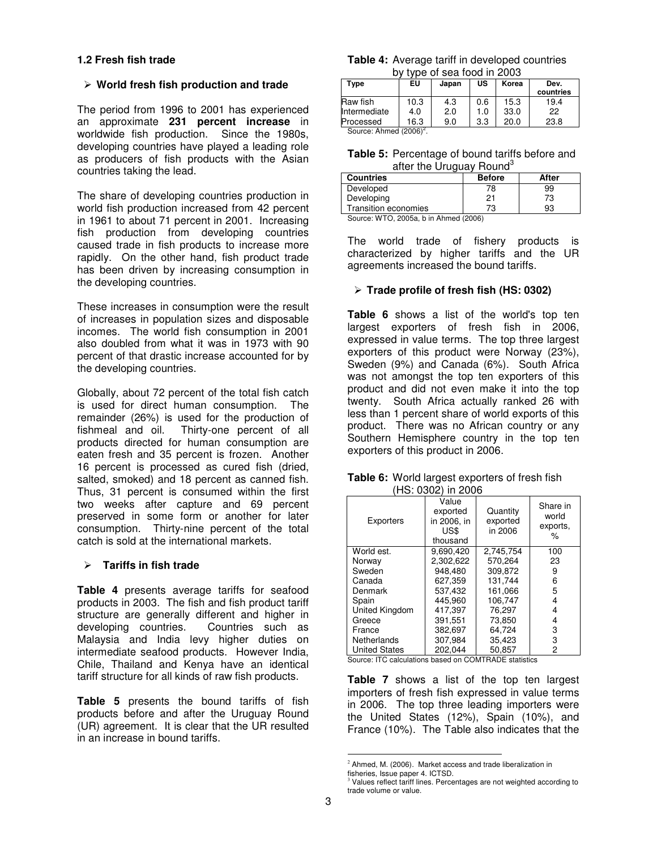#### **1.2 Fresh fish trade**

#### **World fresh fish production and trade**

The period from 1996 to 2001 has experienced an approximate **231 percent increase** in worldwide fish production. Since the 1980s, developing countries have played a leading role as producers of fish products with the Asian countries taking the lead.

The share of developing countries production in world fish production increased from 42 percent in 1961 to about 71 percent in 2001. Increasing fish production from developing countries caused trade in fish products to increase more rapidly. On the other hand, fish product trade has been driven by increasing consumption in the developing countries.

These increases in consumption were the result of increases in population sizes and disposable incomes. The world fish consumption in 2001 also doubled from what it was in 1973 with 90 percent of that drastic increase accounted for by the developing countries.

Globally, about 72 percent of the total fish catch is used for direct human consumption. The remainder (26%) is used for the production of fishmeal and oil. Thirty-one percent of all products directed for human consumption are eaten fresh and 35 percent is frozen. Another 16 percent is processed as cured fish (dried, salted, smoked) and 18 percent as canned fish. Thus, 31 percent is consumed within the first two weeks after capture and 69 percent preserved in some form or another for later consumption. Thirty-nine percent of the total catch is sold at the international markets.

#### **Tariffs in fish trade**

**Table 4** presents average tariffs for seafood products in 2003. The fish and fish product tariff structure are generally different and higher in developing countries. Countries such as Malaysia and India levy higher duties on intermediate seafood products. However India, Chile, Thailand and Kenya have an identical tariff structure for all kinds of raw fish products.

**Table 5** presents the bound tariffs of fish products before and after the Uruguay Round (UR) agreement. It is clear that the UR resulted in an increase in bound tariffs.

| <b>Table 4:</b> Average tariff in developed countries |
|-------------------------------------------------------|
| by type of sea food in 2003                           |

| <u>IVDE UI SEA IUUU III LUUJ</u>  |      |       |     |       |           |
|-----------------------------------|------|-------|-----|-------|-----------|
| Type                              | EU   | Japan | US  | Korea | Dev.      |
|                                   |      |       |     |       | countries |
| Raw fish                          | 10.3 | 4.3   | 0.6 | 15.3  | 19.4      |
| Intermediate                      | 4.0  | 2.0   | 1.0 | 33.0  | 22        |
| Processed                         | 16.3 | 9.0   | 3.3 | 20.0  | 23.8      |
| Courset Ahmad (2006) <sup>2</sup> |      |       |     |       |           |

Source: Ahmed (2006)<sup>2</sup>.

| Table 5: Percentage of bound tariffs before and |
|-------------------------------------------------|
| after the Uruguay Round <sup>3</sup>            |

| <b>Countries</b>                                               | <b>Before</b> | After |  |
|----------------------------------------------------------------|---------------|-------|--|
| Developed                                                      | 78            | 99    |  |
| Developing                                                     | 21            | 73    |  |
| Transition economies                                           | 73            | 93    |  |
| $P_{\text{current}}(MTTO, QODE_{\text{eff}}$ h in Abmod (0000) |               |       |  |

Source: WTO, 2005a, b in Ahmed (2006)

The world trade of fishery products is characterized by higher tariffs and the UR agreements increased the bound tariffs.

#### **Trade profile of fresh fish (HS: 0302)**

**Table 6** shows a list of the world's top ten largest exporters of fresh fish in 2006, expressed in value terms. The top three largest exporters of this product were Norway (23%), Sweden (9%) and Canada (6%). South Africa was not amongst the top ten exporters of this product and did not even make it into the top twenty. South Africa actually ranked 26 with less than 1 percent share of world exports of this product. There was no African country or any Southern Hemisphere country in the top ten exporters of this product in 2006.

| Table 6: World largest exporters of fresh fish |
|------------------------------------------------|
| (HS: 0302) in 2006                             |

| Exporters            | Value<br>exported<br>in 2006. in<br>US\$<br>thousand | Quantity<br>exported<br>in 2006 | Share in<br>world<br>exports,<br>℅ |
|----------------------|------------------------------------------------------|---------------------------------|------------------------------------|
| World est.           | 9.690.420                                            | 2.745.754                       | 100                                |
| Norway               | 2.302.622                                            | 570.264                         | 23                                 |
| Sweden               | 948.480                                              | 309.872                         | 9                                  |
| Canada               | 627.359                                              | 131,744                         | 6                                  |
| Denmark              | 537.432                                              | 161.066                         | 5                                  |
| Spain                | 445.960                                              | 106.747                         | 4                                  |
| United Kingdom       | 417.397                                              | 76.297                          | 4                                  |
| Greece               | 391.551                                              | 73.850                          | 4                                  |
| France               | 382.697                                              | 64.724                          | 3                                  |
| Netherlands          | 307.984                                              | 35.423                          | 3                                  |
| <b>United States</b> | 202,044                                              | 50,857                          | 2                                  |

Source: ITC calculations based on COMTRADE statistics

**Table 7** shows a list of the top ten largest importers of fresh fish expressed in value terms in 2006. The top three leading importers were the United States (12%), Spain (10%), and France (10%). The Table also indicates that the

 $\overline{a}$ 

 $2$  Ahmed, M. (2006). Market access and trade liberalization in

fisheries, Issue paper 4. ICTSD.

<sup>3</sup> Values reflect tariff lines. Percentages are not weighted according to trade volume or value.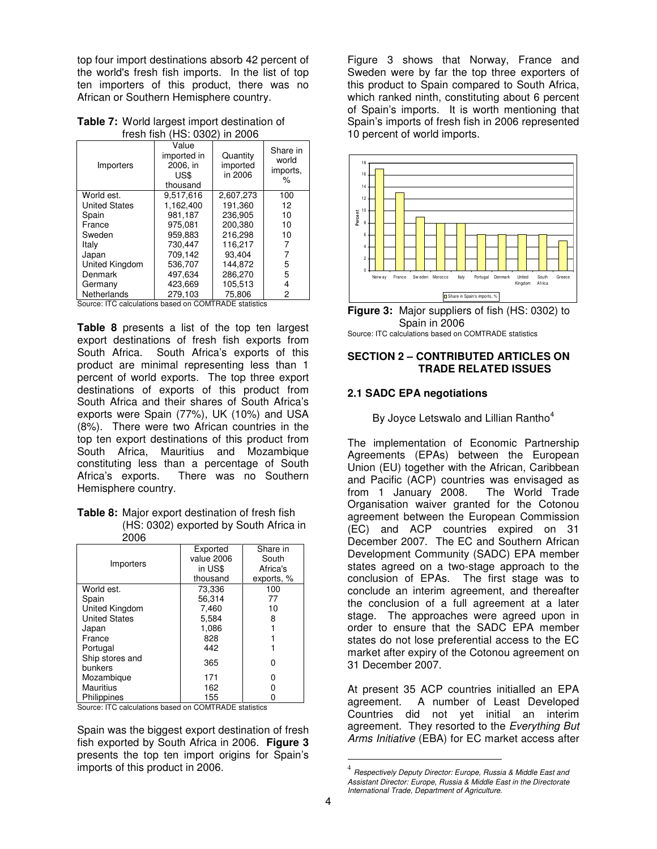top four import destinations absorb 42 percent of the world's fresh fish imports. In the list of top ten importers of this product, there was no African or Southern Hemisphere country.

**Table 7:** World largest import destination of fresh fish (HS: 0302) in 2006

| .<br>Importers       | ,<br>Value<br>imported in<br>2006. in<br>US\$<br>thousand | = - - -<br>Quantity<br>imported<br>in 2006 | Share in<br>world<br>imports,<br>$\%$ |
|----------------------|-----------------------------------------------------------|--------------------------------------------|---------------------------------------|
| World est.           | 9.517.616                                                 | 2,607,273                                  | 100                                   |
| <b>United States</b> | 1.162.400                                                 | 191.360                                    | 12                                    |
| Spain                | 981.187                                                   | 236.905                                    | 10                                    |
| France               | 975.081                                                   | 200.380                                    | 10                                    |
| Sweden               | 959.883                                                   | 216.298                                    | 10                                    |
| Italy                | 730.447                                                   | 116.217                                    |                                       |
| Japan                | 709.142                                                   | 93.404                                     |                                       |
| United Kingdom       | 536.707                                                   | 144.872                                    | 5                                     |
| Denmark              | 497.634                                                   | 286.270                                    | 5                                     |
| Germany              | 423.669                                                   | 105.513                                    | 4                                     |
| Netherlands          | 279.103                                                   | 75.806                                     | 2                                     |

Source: ITC calculations based on COMTRADE statistics

**Table 8** presents a list of the top ten largest export destinations of fresh fish exports from South Africa. South Africa's exports of this product are minimal representing less than 1 percent of world exports. The top three export destinations of exports of this product from South Africa and their shares of South Africa's exports were Spain (77%), UK (10%) and USA (8%). There were two African countries in the top ten export destinations of this product from South Africa, Mauritius and Mozambique constituting less than a percentage of South Africa's exports. There was no Southern Hemisphere country.

**Table 8:** Major export destination of fresh fish (HS: 0302) exported by South Africa in 2006

|                            | Exported   | Share in   |
|----------------------------|------------|------------|
| Importers                  | value 2006 | South      |
|                            | in US\$    | Africa's   |
|                            | thousand   | exports, % |
| World est.                 | 73.336     | 100        |
| Spain                      | 56.314     | 77         |
| United Kingdom             | 7.460      | 10         |
| <b>United States</b>       | 5,584      | 8          |
| Japan                      | 1.086      |            |
| France                     | 828        |            |
| Portugal                   | 442        |            |
| Ship stores and<br>bunkers | 365        | ი          |
| Mozambique                 | 171        |            |
| <b>Mauritius</b>           | 162        |            |
| Philippines                | 155        |            |

Source: ITC calculations based on COMTRADE statistics

Spain was the biggest export destination of fresh fish exported by South Africa in 2006. **Figure 3** presents the top ten import origins for Spain's imports of this product in 2006.

Figure 3 shows that Norway, France and Sweden were by far the top three exporters of this product to Spain compared to South Africa, which ranked ninth, constituting about 6 percent of Spain's imports. It is worth mentioning that Spain's imports of fresh fish in 2006 represented 10 percent of world imports.





#### **SECTION 2 – CONTRIBUTED ARTICLES ON TRADE RELATED ISSUES**

#### **2.1 SADC EPA negotiations**

By Joyce Letswalo and Lillian Rantho<sup>4</sup>

The implementation of Economic Partnership Agreements (EPAs) between the European Union (EU) together with the African, Caribbean and Pacific (ACP) countries was envisaged as from 1 January 2008. The World Trade Organisation waiver granted for the Cotonou agreement between the European Commission (EC) and ACP countries expired on 31 December 2007. The EC and Southern African Development Community (SADC) EPA member states agreed on a two-stage approach to the conclusion of EPAs. The first stage was to conclude an interim agreement, and thereafter the conclusion of a full agreement at a later stage. The approaches were agreed upon in order to ensure that the SADC EPA member states do not lose preferential access to the EC market after expiry of the Cotonou agreement on 31 December 2007.

At present 35 ACP countries initialled an EPA agreement. A number of Least Developed Countries did not yet initial an interim agreement. They resorted to the Everything But Arms Initiative (EBA) for EC market access after

 $\overline{a}$ 

<sup>4</sup> Respectively Deputy Director: Europe, Russia & Middle East and Assistant Director: Europe, Russia & Middle East in the Directorate International Trade, Department of Agriculture.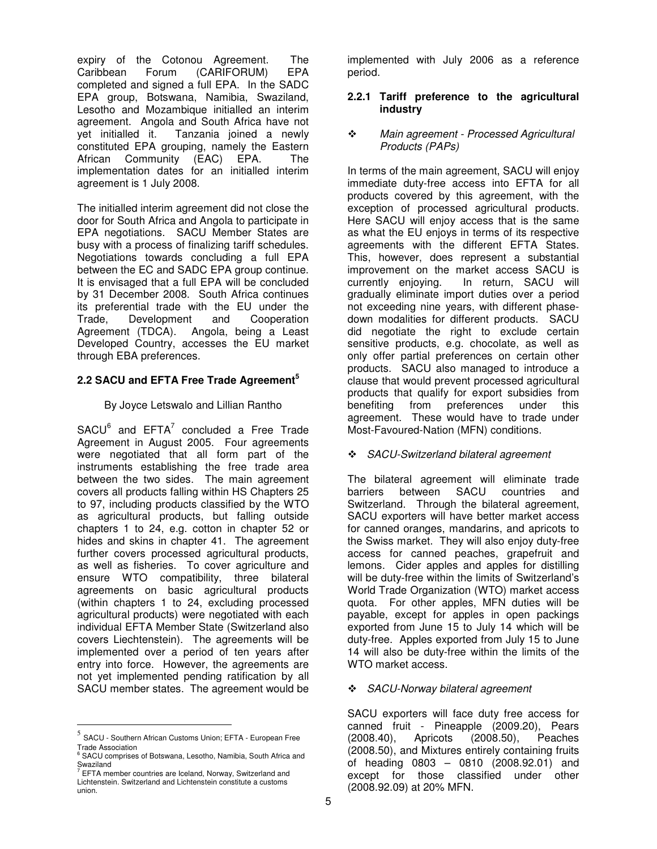expiry of the Cotonou Agreement. The Caribbean Forum (CARIFORUM) EPA completed and signed a full EPA. In the SADC EPA group, Botswana, Namibia, Swaziland, Lesotho and Mozambique initialled an interim agreement. Angola and South Africa have not yet initialled it. Tanzania joined a newly constituted EPA grouping, namely the Eastern African Community (EAC) EPA. The implementation dates for an initialled interim agreement is 1 July 2008.

The initialled interim agreement did not close the door for South Africa and Angola to participate in EPA negotiations. SACU Member States are busy with a process of finalizing tariff schedules. Negotiations towards concluding a full EPA between the EC and SADC EPA group continue. It is envisaged that a full EPA will be concluded by 31 December 2008. South Africa continues its preferential trade with the EU under the Trade, Development and Cooperation Agreement (TDCA). Angola, being a Least Developed Country, accesses the EU market through EBA preferences.

## **2.2 SACU and EFTA Free Trade Agreement<sup>5</sup>**

#### By Joyce Letswalo and Lillian Rantho

 $SACU<sup>6</sup>$  and  $EFTA<sup>7</sup>$  concluded a Free Trade Agreement in August 2005. Four agreements were negotiated that all form part of the instruments establishing the free trade area between the two sides. The main agreement covers all products falling within HS Chapters 25 to 97, including products classified by the WTO as agricultural products, but falling outside chapters 1 to 24, e.g. cotton in chapter 52 or hides and skins in chapter 41. The agreement further covers processed agricultural products, as well as fisheries. To cover agriculture and ensure WTO compatibility, three bilateral agreements on basic agricultural products (within chapters 1 to 24, excluding processed agricultural products) were negotiated with each individual EFTA Member State (Switzerland also covers Liechtenstein). The agreements will be implemented over a period of ten years after entry into force. However, the agreements are not yet implemented pending ratification by all SACU member states. The agreement would be

 $\overline{a}$ 

implemented with July 2006 as a reference period.

#### **2.2.1 Tariff preference to the agricultural industry**

#### $\ddot{\bullet}$  Main agreement - Processed Agricultural Products (PAPs)

In terms of the main agreement, SACU will enjoy immediate duty-free access into EFTA for all products covered by this agreement, with the exception of processed agricultural products. Here SACU will enjoy access that is the same as what the EU enjoys in terms of its respective agreements with the different EFTA States. This, however, does represent a substantial improvement on the market access SACU is currently enjoying. In return, SACU will gradually eliminate import duties over a period not exceeding nine years, with different phasedown modalities for different products. SACU did negotiate the right to exclude certain sensitive products, e.g. chocolate, as well as only offer partial preferences on certain other products. SACU also managed to introduce a clause that would prevent processed agricultural products that qualify for export subsidies from benefiting from preferences under this agreement. These would have to trade under Most-Favoured-Nation (MFN) conditions.

#### - SACU-Switzerland bilateral agreement

The bilateral agreement will eliminate trade barriers between SACU countries and Switzerland. Through the bilateral agreement, SACU exporters will have better market access for canned oranges, mandarins, and apricots to the Swiss market. They will also enjoy duty-free access for canned peaches, grapefruit and lemons. Cider apples and apples for distilling will be duty-free within the limits of Switzerland's World Trade Organization (WTO) market access quota. For other apples, MFN duties will be payable, except for apples in open packings exported from June 15 to July 14 which will be duty-free. Apples exported from July 15 to June 14 will also be duty-free within the limits of the WTO market access.

#### - SACU-Norway bilateral agreement

SACU exporters will face duty free access for canned fruit - Pineapple (2009.20), Pears (2008.40), Apricots (2008.50), Peaches (2008.50), and Mixtures entirely containing fruits of heading 0803 – 0810 (2008.92.01) and except for those classified under other (2008.92.09) at 20% MFN.

<sup>5</sup> SACU - Southern African Customs Union; EFTA - European Free

Trade Association<br><sup>6</sup> SACU comprises of Botswana, Lesotho, Namibia, South Africa and Swaziland<br><sup>7</sup> EETA me

EFTA member countries are Iceland, Norway, Switzerland and Lichtenstein. Switzerland and Lichtenstein constitute a customs union.